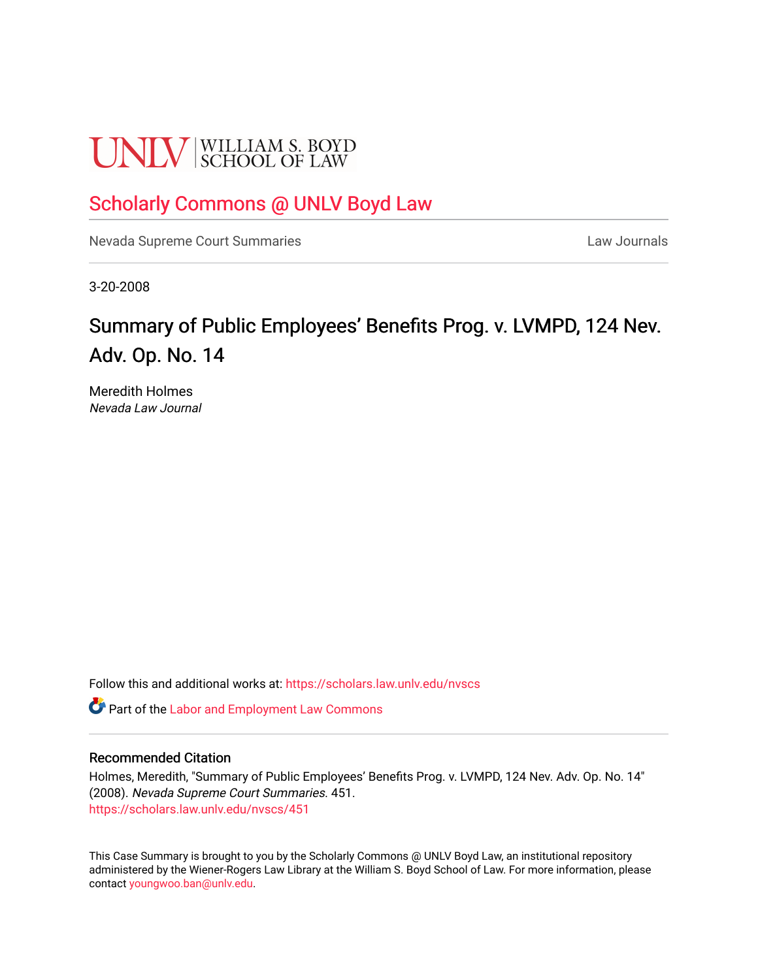# **UNLV** SCHOOL OF LAW

## [Scholarly Commons @ UNLV Boyd Law](https://scholars.law.unlv.edu/)

[Nevada Supreme Court Summaries](https://scholars.law.unlv.edu/nvscs) **Law Journals** Law Journals

3-20-2008

# Summary of Public Employees' Benefits Prog. v. LVMPD, 124 Nev. Adv. Op. No. 14

Meredith Holmes Nevada Law Journal

Follow this and additional works at: [https://scholars.law.unlv.edu/nvscs](https://scholars.law.unlv.edu/nvscs?utm_source=scholars.law.unlv.edu%2Fnvscs%2F451&utm_medium=PDF&utm_campaign=PDFCoverPages)

**C** Part of the [Labor and Employment Law Commons](http://network.bepress.com/hgg/discipline/909?utm_source=scholars.law.unlv.edu%2Fnvscs%2F451&utm_medium=PDF&utm_campaign=PDFCoverPages)

#### Recommended Citation

Holmes, Meredith, "Summary of Public Employees' Benefits Prog. v. LVMPD, 124 Nev. Adv. Op. No. 14" (2008). Nevada Supreme Court Summaries. 451. [https://scholars.law.unlv.edu/nvscs/451](https://scholars.law.unlv.edu/nvscs/451?utm_source=scholars.law.unlv.edu%2Fnvscs%2F451&utm_medium=PDF&utm_campaign=PDFCoverPages)

This Case Summary is brought to you by the Scholarly Commons @ UNLV Boyd Law, an institutional repository administered by the Wiener-Rogers Law Library at the William S. Boyd School of Law. For more information, please contact [youngwoo.ban@unlv.edu](mailto:youngwoo.ban@unlv.edu).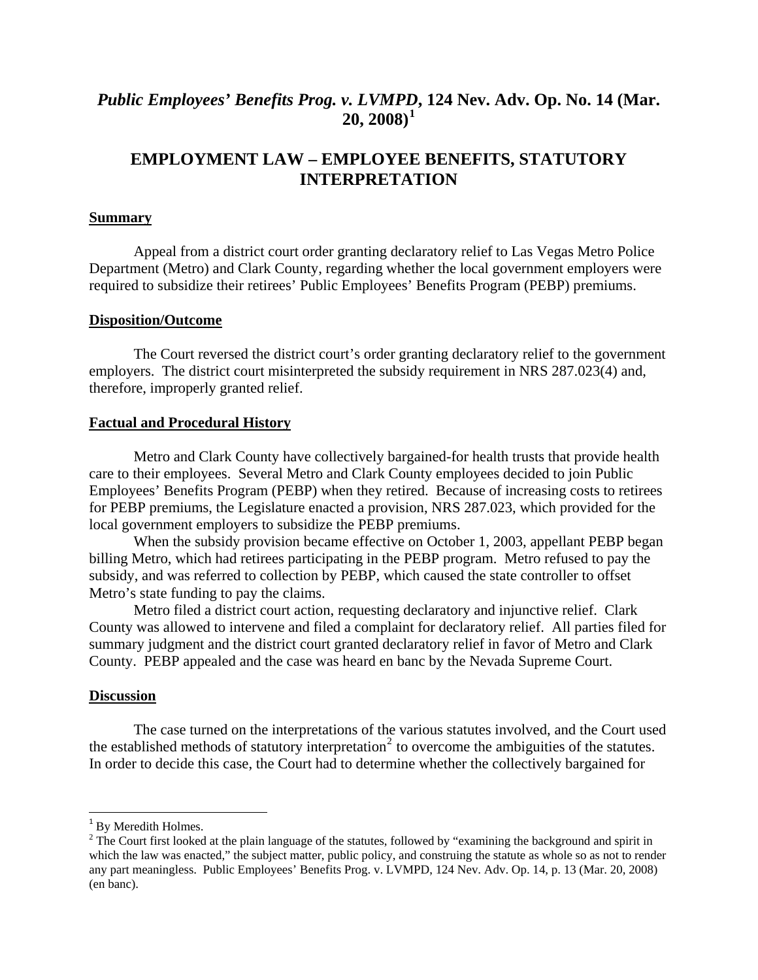## *Public Employees' Benefits Prog. v. LVMPD***, 124 Nev. Adv. Op. No. 14 (Mar. 20, 2008)[1](#page-1-0)**

### **EMPLOYMENT LAW – EMPLOYEE BENEFITS, STATUTORY INTERPRETATION**

#### **Summary**

Appeal from a district court order granting declaratory relief to Las Vegas Metro Police Department (Metro) and Clark County, regarding whether the local government employers were required to subsidize their retirees' Public Employees' Benefits Program (PEBP) premiums.

#### **Disposition/Outcome**

The Court reversed the district court's order granting declaratory relief to the government employers. The district court misinterpreted the subsidy requirement in NRS 287.023(4) and, therefore, improperly granted relief.

#### **Factual and Procedural History**

Metro and Clark County have collectively bargained-for health trusts that provide health care to their employees. Several Metro and Clark County employees decided to join Public Employees' Benefits Program (PEBP) when they retired. Because of increasing costs to retirees for PEBP premiums, the Legislature enacted a provision, NRS 287.023, which provided for the local government employers to subsidize the PEBP premiums.

When the subsidy provision became effective on October 1, 2003, appellant PEBP began billing Metro, which had retirees participating in the PEBP program. Metro refused to pay the subsidy, and was referred to collection by PEBP, which caused the state controller to offset Metro's state funding to pay the claims.

Metro filed a district court action, requesting declaratory and injunctive relief. Clark County was allowed to intervene and filed a complaint for declaratory relief. All parties filed for summary judgment and the district court granted declaratory relief in favor of Metro and Clark County. PEBP appealed and the case was heard en banc by the Nevada Supreme Court.

#### **Discussion**

The case turned on the interpretations of the various statutes involved, and the Court used the established methods of statutory interpretation<sup>[2](#page-1-1)</sup> to overcome the ambiguities of the statutes. In order to decide this case, the Court had to determine whether the collectively bargained for

<span id="page-1-0"></span><sup>&</sup>lt;sup>1</sup> By Meredith Holmes.

<span id="page-1-1"></span> $2^2$  The Court first looked at the plain language of the statutes, followed by "examining the background and spirit in which the law was enacted," the subject matter, public policy, and construing the statute as whole so as not to render any part meaningless. Public Employees' Benefits Prog. v. LVMPD, 124 Nev. Adv. Op. 14, p. 13 (Mar. 20, 2008) (en banc).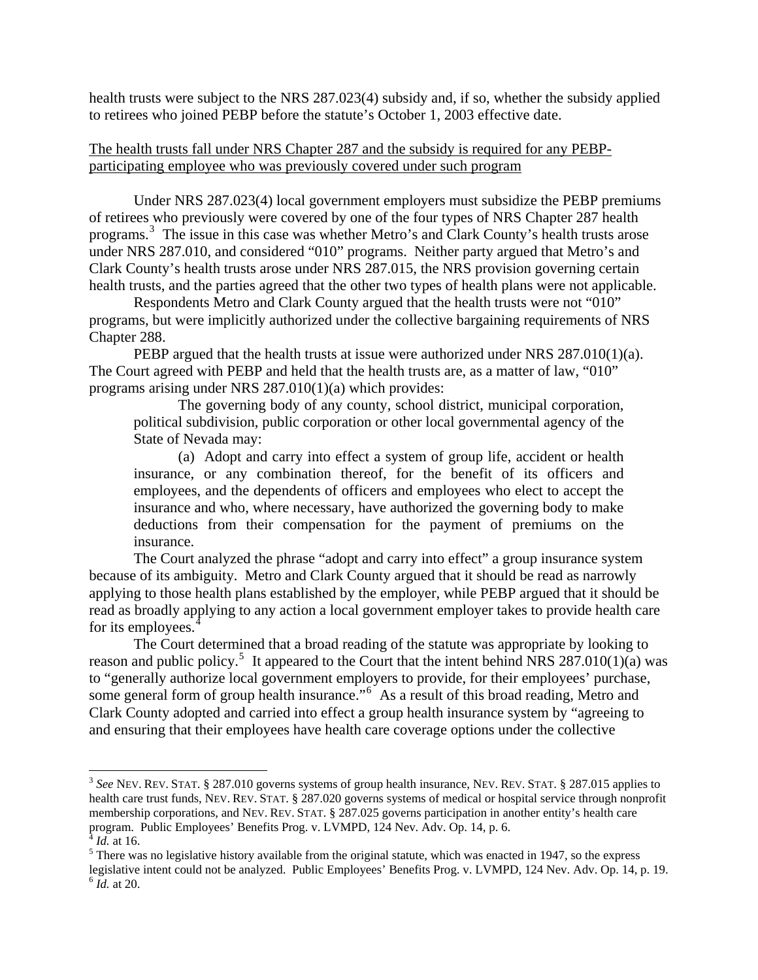health trusts were subject to the NRS 287.023(4) subsidy and, if so, whether the subsidy applied to retirees who joined PEBP before the statute's October 1, 2003 effective date.

#### The health trusts fall under NRS Chapter 287 and the subsidy is required for any PEBPparticipating employee who was previously covered under such program

 Under NRS 287.023(4) local government employers must subsidize the PEBP premiums of retirees who previously were covered by one of the four types of NRS Chapter 287 health programs.[3](#page-2-0) The issue in this case was whether Metro's and Clark County's health trusts arose under NRS 287.010, and considered "010" programs. Neither party argued that Metro's and Clark County's health trusts arose under NRS 287.015, the NRS provision governing certain health trusts, and the parties agreed that the other two types of health plans were not applicable.

 Respondents Metro and Clark County argued that the health trusts were not "010" programs, but were implicitly authorized under the collective bargaining requirements of NRS Chapter 288.

PEBP argued that the health trusts at issue were authorized under NRS 287.010(1)(a). The Court agreed with PEBP and held that the health trusts are, as a matter of law, "010" programs arising under NRS 287.010(1)(a) which provides:

 The governing body of any county, school district, municipal corporation, political subdivision, public corporation or other local governmental agency of the State of Nevada may:

 (a) Adopt and carry into effect a system of group life, accident or health insurance, or any combination thereof, for the benefit of its officers and employees, and the dependents of officers and employees who elect to accept the insurance and who, where necessary, have authorized the governing body to make deductions from their compensation for the payment of premiums on the insurance.

 The Court analyzed the phrase "adopt and carry into effect" a group insurance system because of its ambiguity. Metro and Clark County argued that it should be read as narrowly applying to those health plans established by the employer, while PEBP argued that it should be read as broadly applying to any action a local government employer takes to provide health care for its employees.<sup>[4](#page-2-1)</sup>

The Court determined that a broad reading of the statute was appropriate by looking to reason and public policy.<sup>[5](#page-2-2)</sup> It appeared to the Court that the intent behind NRS 287.010(1)(a) was to "generally authorize local government employers to provide, for their employees' purchase, some general form of group health insurance."<sup>[6](#page-2-3)</sup> As a result of this broad reading, Metro and Clark County adopted and carried into effect a group health insurance system by "agreeing to and ensuring that their employees have health care coverage options under the collective

<span id="page-2-0"></span><sup>3</sup> *See* NEV. REV. STAT. § 287.010 governs systems of group health insurance, NEV. REV. STAT. § 287.015 applies to health care trust funds, NEV. REV. STAT. § 287.020 governs systems of medical or hospital service through nonprofit membership corporations, and NEV. REV. STAT. § 287.025 governs participation in another entity's health care program. Public Employees' Benefits Prog. v. LVMPD, 124 Nev. Adv. Op. 14, p. 6.

<span id="page-2-3"></span><span id="page-2-2"></span><span id="page-2-1"></span> $\frac{4}{10}$  *Id.* at 16. So legislative history available from the original statute, which was enacted in 1947, so the express legislative intent could not be analyzed. Public Employees' Benefits Prog. v. LVMPD, 124 Nev. Adv. Op. 14, p. 19. <sup>6</sup> *Id.* at 20.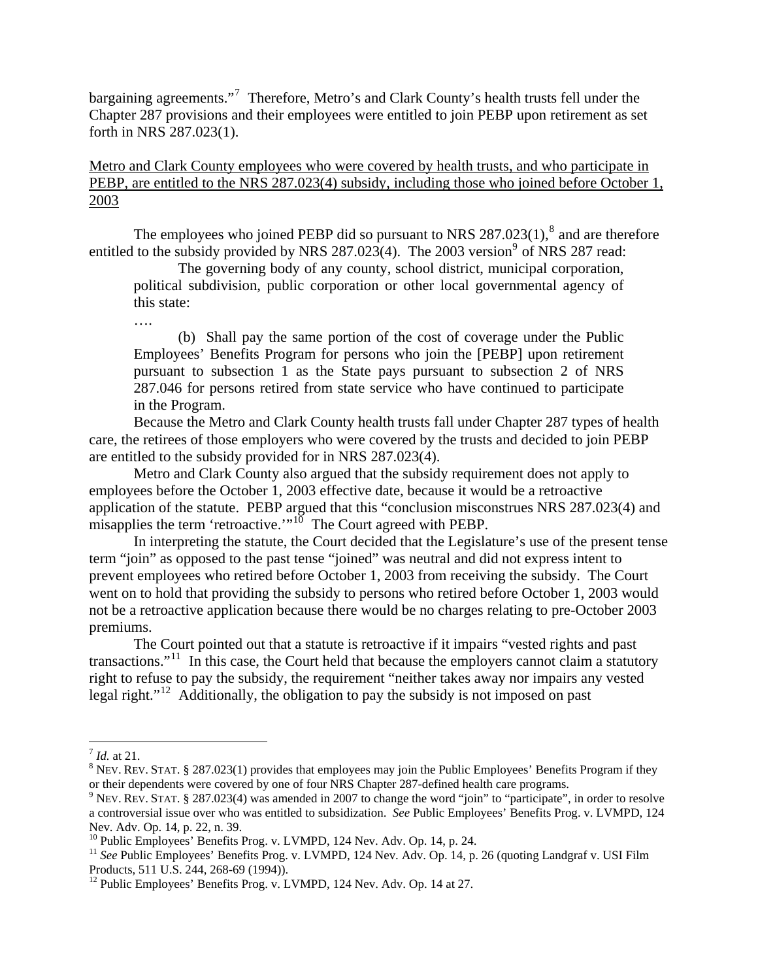bargaining agreements."<sup>[7](#page-3-0)</sup> Therefore, Metro's and Clark County's health trusts fell under the Chapter 287 provisions and their employees were entitled to join PEBP upon retirement as set forth in NRS 287.023(1).

#### Metro and Clark County employees who were covered by health trusts, and who participate in PEBP, are entitled to the NRS 287.023(4) subsidy, including those who joined before October 1, 2003

The employees who joined PEBP did so pursuant to NRS  $287.023(1)$  $287.023(1)$  $287.023(1)$ ,<sup>8</sup> and are therefore entitled to the subsidy provided by NRS 287.023(4). The 2003 version<sup>[9](#page-3-2)</sup> of NRS 287 read:

 The governing body of any county, school district, municipal corporation, political subdivision, public corporation or other local governmental agency of this state:

 (b) Shall pay the same portion of the cost of coverage under the Public Employees' Benefits Program for persons who join the [PEBP] upon retirement pursuant to subsection 1 as the State pays pursuant to subsection 2 of NRS 287.046 for persons retired from state service who have continued to participate in the Program.

 Because the Metro and Clark County health trusts fall under Chapter 287 types of health care, the retirees of those employers who were covered by the trusts and decided to join PEBP are entitled to the subsidy provided for in NRS 287.023(4).

 Metro and Clark County also argued that the subsidy requirement does not apply to employees before the October 1, 2003 effective date, because it would be a retroactive application of the statute. PEBP argued that this "conclusion misconstrues NRS 287.023(4) and misapplies the term 'retroactive.'"<sup>[10](#page-3-3)</sup> The Court agreed with PEBP.

 In interpreting the statute, the Court decided that the Legislature's use of the present tense term "join" as opposed to the past tense "joined" was neutral and did not express intent to prevent employees who retired before October 1, 2003 from receiving the subsidy. The Court went on to hold that providing the subsidy to persons who retired before October 1, 2003 would not be a retroactive application because there would be no charges relating to pre-October 2003 premiums.

 The Court pointed out that a statute is retroactive if it impairs "vested rights and past transactions."[11](#page-3-4) In this case, the Court held that because the employers cannot claim a statutory right to refuse to pay the subsidy, the requirement "neither takes away nor impairs any vested legal right."[12](#page-3-5) Additionally, the obligation to pay the subsidy is not imposed on past

….

<span id="page-3-0"></span> $^7$  *Id.* at 21.

<span id="page-3-1"></span><sup>&</sup>lt;sup>8</sup> NEV. REV. STAT. § 287.023(1) provides that employees may join the Public Employees' Benefits Program if they or their dependents were covered by one of four NRS Chapter 287-defined health care programs.

<span id="page-3-2"></span><sup>&</sup>lt;sup>9</sup> NEV. REV. STAT. § 287.023(4) was amended in 2007 to change the word "join" to "participate", in order to resolve a controversial issue over who was entitled to subsidization. *See* Public Employees' Benefits Prog. v. LVMPD, 124 Nev. Adv. Op. 14, p. 22, n. 39.

<sup>&</sup>lt;sup>10</sup> Public Employees' Benefits Prog. v. LVMPD, 124 Nev. Adv. Op. 14, p. 24.

<span id="page-3-4"></span><span id="page-3-3"></span><sup>&</sup>lt;sup>11</sup> See Public Employees' Benefits Prog. v. LVMPD, 124 Nev. Adv. Op. 14, p. 26 (quoting Landgraf v. USI Film Products, 511 U.S. 244, 268-69 (1994)).

<span id="page-3-5"></span><sup>&</sup>lt;sup>12</sup> Public Employees' Benefits Prog. v. LVMPD, 124 Nev. Adv. Op. 14 at 27.